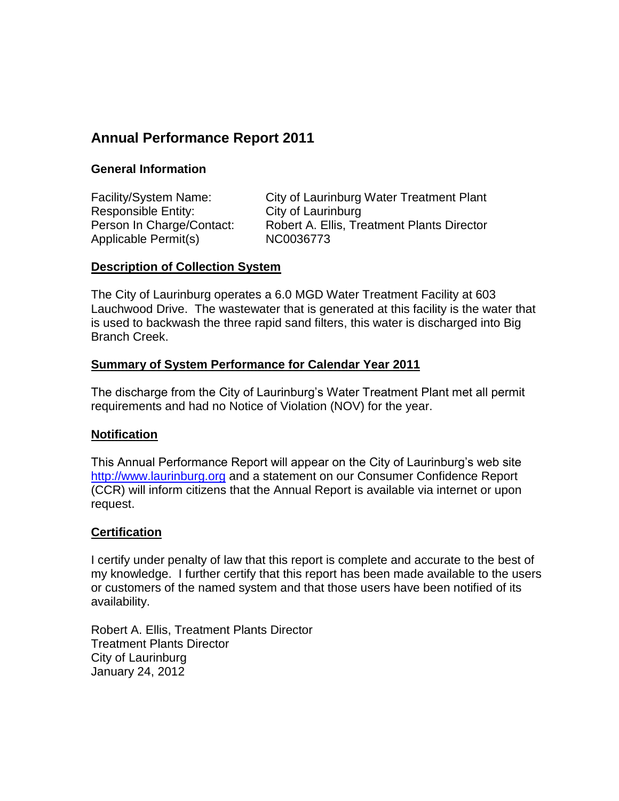# **Annual Performance Report 2011**

# **General Information**

Facility/System Name: City of Laurinburg Water Treatment Plant Responsible Entity: City of Laurinburg Person In Charge/Contact: Robert A. Ellis, Treatment Plants Director Applicable Permit(s) NC0036773

### **Description of Collection System**

The City of Laurinburg operates a 6.0 MGD Water Treatment Facility at 603 Lauchwood Drive. The wastewater that is generated at this facility is the water that is used to backwash the three rapid sand filters, this water is discharged into Big Branch Creek.

# **Summary of System Performance for Calendar Year 2011**

The discharge from the City of Laurinburg's Water Treatment Plant met all permit requirements and had no Notice of Violation (NOV) for the year.

# **Notification**

This Annual Performance Report will appear on the City of Laurinburg's web site [http://www.laurinburg.org](http://www.laurinburg.org/) and a statement on our Consumer Confidence Report (CCR) will inform citizens that the Annual Report is available via internet or upon request.

# **Certification**

I certify under penalty of law that this report is complete and accurate to the best of my knowledge. I further certify that this report has been made available to the users or customers of the named system and that those users have been notified of its availability.

Robert A. Ellis, Treatment Plants Director Treatment Plants Director City of Laurinburg January 24, 2012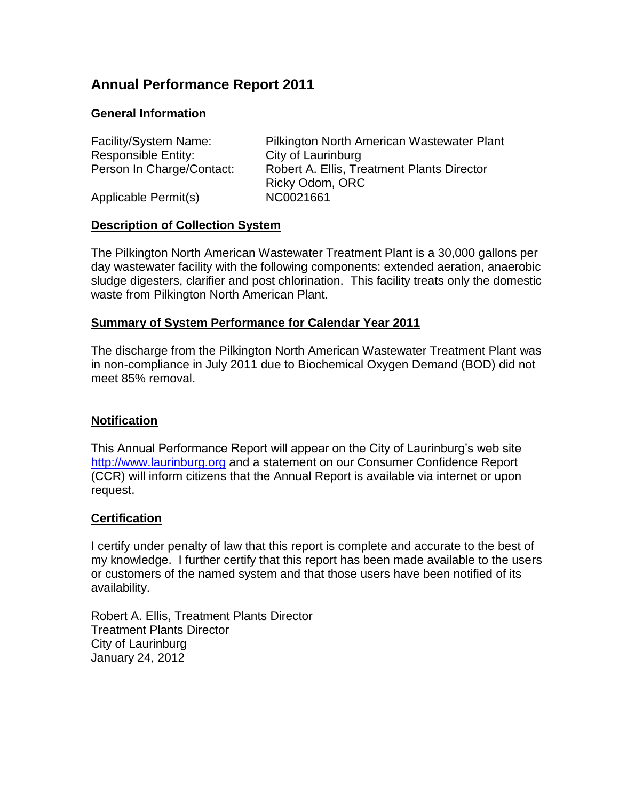# **Annual Performance Report 2011**

# **General Information**

| Facility/System Name:     | Pilkington North American Wastewater Plant        |
|---------------------------|---------------------------------------------------|
| Responsible Entity:       | City of Laurinburg                                |
| Person In Charge/Contact: | <b>Robert A. Ellis, Treatment Plants Director</b> |
|                           | Ricky Odom, ORC                                   |
| Applicable Permit(s)      | NC0021661                                         |

### **Description of Collection System**

The Pilkington North American Wastewater Treatment Plant is a 30,000 gallons per day wastewater facility with the following components: extended aeration, anaerobic sludge digesters, clarifier and post chlorination. This facility treats only the domestic waste from Pilkington North American Plant.

# **Summary of System Performance for Calendar Year 2011**

The discharge from the Pilkington North American Wastewater Treatment Plant was in non-compliance in July 2011 due to Biochemical Oxygen Demand (BOD) did not meet 85% removal.

#### **Notification**

This Annual Performance Report will appear on the City of Laurinburg's web site [http://www.laurinburg.org](http://www.laurinburg.org/) and a statement on our Consumer Confidence Report (CCR) will inform citizens that the Annual Report is available via internet or upon request.

#### **Certification**

I certify under penalty of law that this report is complete and accurate to the best of my knowledge. I further certify that this report has been made available to the users or customers of the named system and that those users have been notified of its availability.

Robert A. Ellis, Treatment Plants Director Treatment Plants Director City of Laurinburg January 24, 2012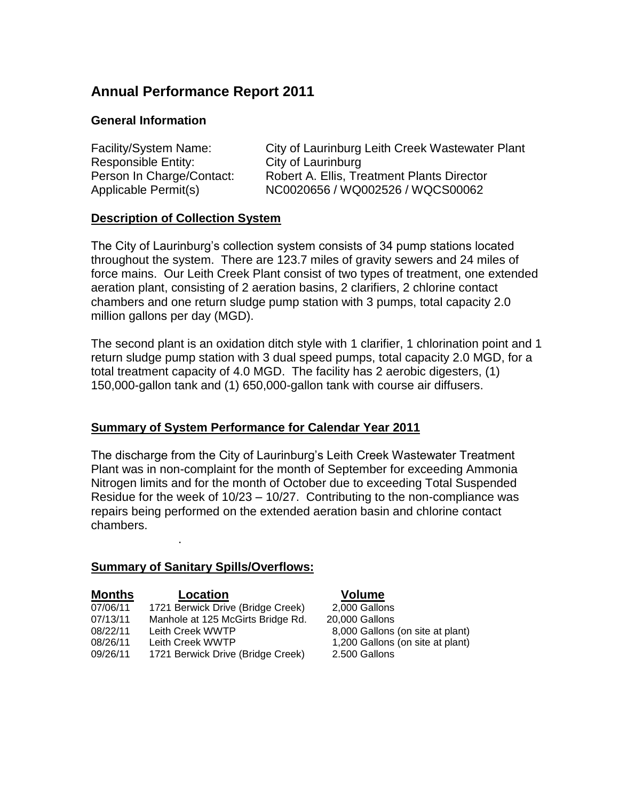# **Annual Performance Report 2011**

## **General Information**

| Facility/System Name:     | City of Laurinburg Leith Creek Wastewater Plant |
|---------------------------|-------------------------------------------------|
| Responsible Entity:       | City of Laurinburg                              |
| Person In Charge/Contact: | Robert A. Ellis, Treatment Plants Director      |
| Applicable Permit(s)      | NC0020656 / WQ002526 / WQCS00062                |

### **Description of Collection System**

The City of Laurinburg's collection system consists of 34 pump stations located throughout the system. There are 123.7 miles of gravity sewers and 24 miles of force mains. Our Leith Creek Plant consist of two types of treatment, one extended aeration plant, consisting of 2 aeration basins, 2 clarifiers, 2 chlorine contact chambers and one return sludge pump station with 3 pumps, total capacity 2.0 million gallons per day (MGD).

The second plant is an oxidation ditch style with 1 clarifier, 1 chlorination point and 1 return sludge pump station with 3 dual speed pumps, total capacity 2.0 MGD, for a total treatment capacity of 4.0 MGD. The facility has 2 aerobic digesters, (1) 150,000-gallon tank and (1) 650,000-gallon tank with course air diffusers.

# **Summary of System Performance for Calendar Year 2011**

The discharge from the City of Laurinburg's Leith Creek Wastewater Treatment Plant was in non-complaint for the month of September for exceeding Ammonia Nitrogen limits and for the month of October due to exceeding Total Suspended Residue for the week of 10/23 – 10/27. Contributing to the non-compliance was repairs being performed on the extended aeration basin and chlorine contact chambers.

#### **Summary of Sanitary Spills/Overflows:**

.

| <b>Months</b> | Location                          |
|---------------|-----------------------------------|
| 07/06/11      | 1721 Berwick Drive (Bridge Creek) |
| 07/13/11      | Manhole at 125 McGirts Bridge Rd. |
| 08/22/11      | Leith Creek WWTP                  |
| 08/26/11      | Leith Creek WWTP                  |
| 09/26/11      | 1721 Berwick Drive (Bridge Creek) |

#### **Volume**

 $2,000$  Gallons 20,000 Gallons 8,000 Gallons (on site at plant) 1,200 Gallons (on site at plant) 2.500 Gallons